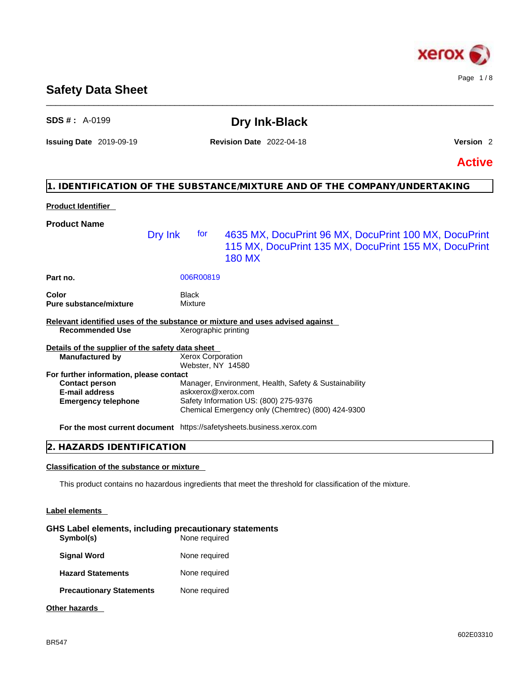

### **Safety Data Sheet**

| <b>SDS #:</b> $A-0199$                                                                                                  |                                 |                                               | <b>Dry Ink-Black</b>                                                                                                                                |               |
|-------------------------------------------------------------------------------------------------------------------------|---------------------------------|-----------------------------------------------|-----------------------------------------------------------------------------------------------------------------------------------------------------|---------------|
| <b>Issuing Date 2019-09-19</b>                                                                                          | <b>Revision Date</b> 2022-04-18 |                                               | Version <sub>2</sub>                                                                                                                                |               |
|                                                                                                                         |                                 |                                               |                                                                                                                                                     | <b>Active</b> |
|                                                                                                                         |                                 |                                               | 1. IDENTIFICATION OF THE SUBSTANCE/MIXTURE AND OF THE COMPANY/UNDERTAKING                                                                           |               |
| <b>Product Identifier</b>                                                                                               |                                 |                                               |                                                                                                                                                     |               |
| <b>Product Name</b>                                                                                                     | Dry Ink                         | tor                                           | 4635 MX, DocuPrint 96 MX, DocuPrint 100 MX, DocuPrint<br>115 MX, DocuPrint 135 MX, DocuPrint 155 MX, DocuPrint<br><b>180 MX</b>                     |               |
| Part no.                                                                                                                |                                 | 006R00819                                     |                                                                                                                                                     |               |
| <b>Color</b><br><b>Pure substance/mixture</b>                                                                           |                                 | <b>Black</b><br><b>Mixture</b>                |                                                                                                                                                     |               |
| <b>Recommended Use</b>                                                                                                  |                                 | Xerographic printing                          | Relevant identified uses of the substance or mixture and uses advised against                                                                       |               |
| Details of the supplier of the safety data sheet<br><b>Manufactured by</b>                                              |                                 | <b>Xerox Corporation</b><br>Webster, NY 14580 |                                                                                                                                                     |               |
| For further information, please contact<br><b>Contact person</b><br><b>E-mail address</b><br><b>Emergency telephone</b> |                                 | askxerox@xerox.com                            | Manager, Environment, Health, Safety & Sustainability<br>Safety Information US: (800) 275-9376<br>Chemical Emergency only (Chemtrec) (800) 424-9300 |               |
|                                                                                                                         |                                 |                                               | <b>For the most current document</b> https://safetysheets.business.xerox.com                                                                        |               |
| 2. HAZARDS IDENTIFICATION                                                                                               |                                 |                                               |                                                                                                                                                     |               |
| <b>Classification of the substance or mixture</b>                                                                       |                                 |                                               |                                                                                                                                                     |               |
|                                                                                                                         |                                 |                                               | This product contains no hazardous ingredients that meet the threshold for classification of the mixture.                                           |               |
| <b>Label elements</b>                                                                                                   |                                 |                                               |                                                                                                                                                     |               |
| GHS Label elements, including precautionary statements<br>Symbol(s)                                                     |                                 | None required                                 |                                                                                                                                                     |               |

\_\_\_\_\_\_\_\_\_\_\_\_\_\_\_\_\_\_\_\_\_\_\_\_\_\_\_\_\_\_\_\_\_\_\_\_\_\_\_\_\_\_\_\_\_\_\_\_\_\_\_\_\_\_\_\_\_\_\_\_\_\_\_\_\_\_\_\_\_\_\_\_\_\_\_\_\_\_\_\_\_\_\_\_\_\_\_\_\_\_\_\_\_\_

BR547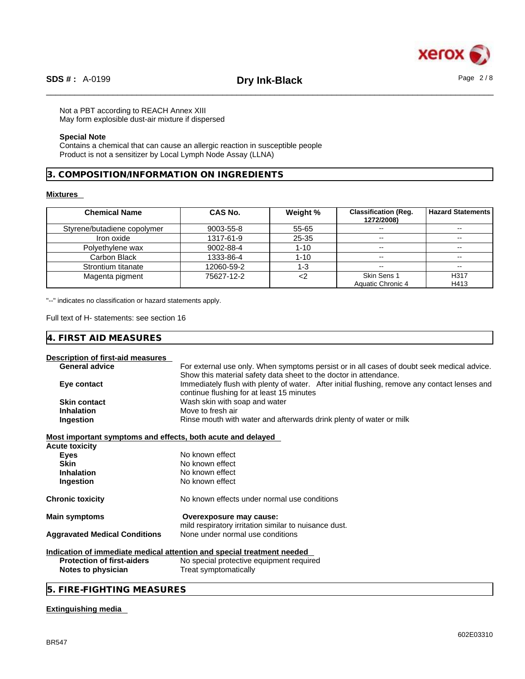

### Not a PBT according to REACH Annex XIII

May form explosible dust-air mixture if dispersed

### **Special Note**

Contains a chemical that can cause an allergic reaction in susceptible people Product is not a sensitizer by Local Lymph Node Assay (LLNA)

**3. COMPOSITION/INFORMATION ON INGREDIENTS** 

### **Mixtures**

| <b>Chemical Name</b>        | <b>CAS No.</b> | Weight % | <b>Classification (Reg.</b><br>1272/2008) | <b>Hazard Statements</b> |
|-----------------------------|----------------|----------|-------------------------------------------|--------------------------|
| Styrene/butadiene copolymer | 9003-55-8      | 55-65    |                                           | $\overline{\phantom{m}}$ |
| Iron oxide                  | 1317-61-9      | 25-35    | $\overline{\phantom{a}}$                  | $\sim$ $\sim$            |
| Polyethylene wax            | 9002-88-4      | $1 - 10$ | $-$                                       | $- -$                    |
| Carbon Black                | 1333-86-4      | $1 - 10$ | $\overline{\phantom{a}}$                  | $\sim$                   |
| Strontium titanate          | 12060-59-2     | 1-3      | $\overline{\phantom{a}}$                  | $\sim$ $\sim$            |
| Magenta pigment             | 75627-12-2     |          | Skin Sens 1                               | H317                     |
|                             |                |          | Aquatic Chronic 4                         | H413                     |

"--" indicates no classification or hazard statements apply.

Full text of H- statements: see section 16

| $- - -$<br>$\mathbf{A}$<br>. .<br>.<br>W.<br>AIL<br><u>` – –</u> |  |  |
|------------------------------------------------------------------|--|--|
|------------------------------------------------------------------|--|--|

### **Description of first-aid measures**

| Description or in st-ald measures                           |                                                                                               |
|-------------------------------------------------------------|-----------------------------------------------------------------------------------------------|
| <b>General advice</b>                                       | For external use only. When symptoms persist or in all cases of doubt seek medical advice.    |
|                                                             | Show this material safety data sheet to the doctor in attendance.                             |
| Eye contact                                                 | Immediately flush with plenty of water. After initial flushing, remove any contact lenses and |
|                                                             | continue flushing for at least 15 minutes                                                     |
| <b>Skin contact</b>                                         | Wash skin with soap and water                                                                 |
| <b>Inhalation</b>                                           | Move to fresh air                                                                             |
| Ingestion                                                   | Rinse mouth with water and afterwards drink plenty of water or milk                           |
| Most important symptoms and effects, both acute and delayed |                                                                                               |
| Acute toxicity                                              |                                                                                               |
| <b>Eyes</b>                                                 | No known effect                                                                               |
| <b>Skin</b>                                                 | No known effect                                                                               |
| <b>Inhalation</b>                                           | No known effect                                                                               |
| Ingestion                                                   | No known effect                                                                               |
| Chronic toxicity                                            | No known effects under normal use conditions                                                  |
| <b>Main symptoms</b>                                        | Overexposure may cause:                                                                       |
|                                                             | mild respiratory irritation similar to nuisance dust.                                         |
| <b>Aggravated Medical Conditions</b>                        | None under normal use conditions                                                              |
|                                                             | Indication of immediate medical attention and special treatment needed                        |
| <b>Protection of first-aiders</b>                           | No special protective equipment required                                                      |
| Notes to physician                                          | Treat symptomatically                                                                         |
|                                                             |                                                                                               |

**5. FIRE-FIGHTING MEASURES** 

### **Extinguishing media**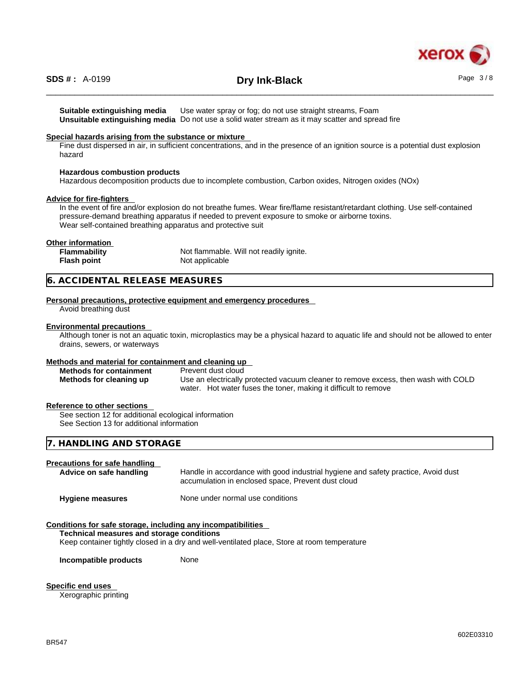

# \_\_\_\_\_\_\_\_\_\_\_\_\_\_\_\_\_\_\_\_\_\_\_\_\_\_\_\_\_\_\_\_\_\_\_\_\_\_\_\_\_\_\_\_\_\_\_\_\_\_\_\_\_\_\_\_\_\_\_\_\_\_\_\_\_\_\_\_\_\_\_\_\_\_\_\_\_\_\_\_\_\_\_\_\_\_\_\_\_\_\_\_\_\_ **SDS # :** A-0199 **Dry Ink-Black** Page 3 / 8

**Suitable extinguishing media** Use water spray or fog; do not use straight streams, Foam **Unsuitable extinguishing media** Do not use a solid water stream as it may scatterand spread fire

### **Special hazards arising from the substance or mixture**

Fine dust dispersed in air, in sufficient concentrations, and in the presence of an ignition source is a potential dust explosion hazard

### **Hazardous combustion products**

Hazardous decomposition products due to incomplete combustion, Carbon oxides, Nitrogen oxides (NOx)

### **Advice for fire-fighters**

In the event of fire and/or explosion do not breathe fumes. Wear fire/flame resistant/retardant clothing. Use self-contained pressure-demand breathing apparatus if needed to prevent exposure to smoke or airborne toxins. Wear self-contained breathing apparatus and protective suit

### **Other information**

| Flammability       | Not flammable. Will not readily ignite. |
|--------------------|-----------------------------------------|
| <b>Flash point</b> | Not applicable                          |

### **6. ACCIDENTAL RELEASE MEASURES**

### **Personal precautions, protective equipment and emergency procedures**

Avoid breathing dust

### **Environmental precautions**

Although toner is not an aquatic toxin, microplastics may be a physical hazard to aquatic life and should not be allowed to enter drains, sewers, or waterways

### **Methods and material for containment and cleaning up**

| <b>Methods for containment</b> | Prevent dust cloud                                                                 |
|--------------------------------|------------------------------------------------------------------------------------|
| Methods for cleaning up        | Use an electrically protected vacuum cleaner to remove excess, then wash with COLD |
|                                | water. Hot water fuses the toner, making it difficult to remove                    |

### **Reference to other sections**

See section 12 for additional ecological information See Section 13 for additional information

### **7. HANDLING AND STORAGE**

### **Precautions for safe handling**

| Advice on safe handling | Handle in accordance with good industrial hygiene and safety practice, Avoid dust<br>accumulation in enclosed space, Prevent dust cloud |
|-------------------------|-----------------------------------------------------------------------------------------------------------------------------------------|
| <b>Hygiene measures</b> | None under normal use conditions                                                                                                        |

### **Conditions for safe storage, including any incompatibilities**

### **Technical measures and storage conditions**

Keep container tightly closed in a dry and well-ventilated place, Store at room temperature

**Incompatible products** None

**Specific end uses** 

Xerographic printing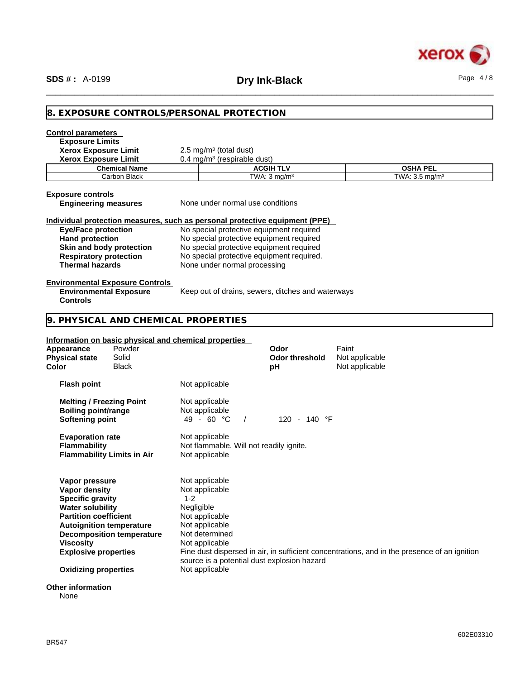

| 8. EXPOSURE CONTROLS/PERSONAL PROTECTION<br><b>Exposure Limits</b><br><b>Xerox Exposure Limit</b><br>2.5 mg/m $3$ (total dust)<br>0.4 mg/m <sup>3</sup> (respirable dust)<br><b>ACGIH TLV</b><br><b>Chemical Name</b><br><b>OSHA PEL</b><br>TWA: $3 \text{ mg/m}^3$<br>TWA: 3.5 mg/m <sup>3</sup><br>Carbon Black<br>None under normal use conditions<br>Individual protection measures, such as personal protective equipment (PPE)<br>No special protective equipment required<br>No special protective equipment required<br>Skin and body protection<br>No special protective equipment required<br>No special protective equipment required.<br><b>Respiratory protection</b><br><b>Thermal hazards</b><br>None under normal processing<br>Keep out of drains, sewers, ditches and waterways<br>9. PHYSICAL AND CHEMICAL PROPERTIES<br>Information on basic physical and chemical properties<br>Powder<br>Faint<br>Odor<br>Solid<br><b>Odor threshold</b><br>Not applicable<br>Black<br>Not applicable<br>рH<br>Not applicable<br><b>Melting / Freezing Point</b><br>Not applicable<br><b>Boiling point/range</b><br>Not applicable<br>49 - 60 °C<br>$\prime$<br>120 - 140 °F<br>Not applicable<br><b>Evaporation rate</b><br><b>Flammability</b><br>Not flammable. Will not readily ignite.<br><b>Flammability Limits in Air</b><br>Not applicable<br>Not applicable<br>Vapor pressure<br>Vapor density<br>Not applicable<br>$1 - 2$<br><b>Specific gravity</b><br>Negligible<br><b>Water solubility</b><br><b>Partition coefficient</b><br>Not applicable<br>Not applicable<br><b>Autoignition temperature</b><br>Not determined<br><b>Decomposition temperature</b><br><b>Viscosity</b><br>Not applicable<br><b>Explosive properties</b><br>Fine dust dispersed in air, in sufficient concentrations, and in the presence of an ignition<br>source is a potential dust explosion hazard<br>Not applicable | <b>SDS#: A-0199</b>                                                                        | <b>Dry Ink-Black</b> | Page $4/8$ |
|-------------------------------------------------------------------------------------------------------------------------------------------------------------------------------------------------------------------------------------------------------------------------------------------------------------------------------------------------------------------------------------------------------------------------------------------------------------------------------------------------------------------------------------------------------------------------------------------------------------------------------------------------------------------------------------------------------------------------------------------------------------------------------------------------------------------------------------------------------------------------------------------------------------------------------------------------------------------------------------------------------------------------------------------------------------------------------------------------------------------------------------------------------------------------------------------------------------------------------------------------------------------------------------------------------------------------------------------------------------------------------------------------------------------------------------------------------------------------------------------------------------------------------------------------------------------------------------------------------------------------------------------------------------------------------------------------------------------------------------------------------------------------------------------------------------------------------------------------------------------------------------------------------------------|--------------------------------------------------------------------------------------------|----------------------|------------|
|                                                                                                                                                                                                                                                                                                                                                                                                                                                                                                                                                                                                                                                                                                                                                                                                                                                                                                                                                                                                                                                                                                                                                                                                                                                                                                                                                                                                                                                                                                                                                                                                                                                                                                                                                                                                                                                                                                                   |                                                                                            |                      |            |
|                                                                                                                                                                                                                                                                                                                                                                                                                                                                                                                                                                                                                                                                                                                                                                                                                                                                                                                                                                                                                                                                                                                                                                                                                                                                                                                                                                                                                                                                                                                                                                                                                                                                                                                                                                                                                                                                                                                   | <b>Control parameters</b>                                                                  |                      |            |
|                                                                                                                                                                                                                                                                                                                                                                                                                                                                                                                                                                                                                                                                                                                                                                                                                                                                                                                                                                                                                                                                                                                                                                                                                                                                                                                                                                                                                                                                                                                                                                                                                                                                                                                                                                                                                                                                                                                   |                                                                                            |                      |            |
|                                                                                                                                                                                                                                                                                                                                                                                                                                                                                                                                                                                                                                                                                                                                                                                                                                                                                                                                                                                                                                                                                                                                                                                                                                                                                                                                                                                                                                                                                                                                                                                                                                                                                                                                                                                                                                                                                                                   | <b>Xerox Exposure Limit</b>                                                                |                      |            |
|                                                                                                                                                                                                                                                                                                                                                                                                                                                                                                                                                                                                                                                                                                                                                                                                                                                                                                                                                                                                                                                                                                                                                                                                                                                                                                                                                                                                                                                                                                                                                                                                                                                                                                                                                                                                                                                                                                                   |                                                                                            |                      |            |
|                                                                                                                                                                                                                                                                                                                                                                                                                                                                                                                                                                                                                                                                                                                                                                                                                                                                                                                                                                                                                                                                                                                                                                                                                                                                                                                                                                                                                                                                                                                                                                                                                                                                                                                                                                                                                                                                                                                   |                                                                                            |                      |            |
|                                                                                                                                                                                                                                                                                                                                                                                                                                                                                                                                                                                                                                                                                                                                                                                                                                                                                                                                                                                                                                                                                                                                                                                                                                                                                                                                                                                                                                                                                                                                                                                                                                                                                                                                                                                                                                                                                                                   | <b>Exposure controls</b><br><b>Engineering measures</b>                                    |                      |            |
|                                                                                                                                                                                                                                                                                                                                                                                                                                                                                                                                                                                                                                                                                                                                                                                                                                                                                                                                                                                                                                                                                                                                                                                                                                                                                                                                                                                                                                                                                                                                                                                                                                                                                                                                                                                                                                                                                                                   | <b>Eye/Face protection</b>                                                                 |                      |            |
|                                                                                                                                                                                                                                                                                                                                                                                                                                                                                                                                                                                                                                                                                                                                                                                                                                                                                                                                                                                                                                                                                                                                                                                                                                                                                                                                                                                                                                                                                                                                                                                                                                                                                                                                                                                                                                                                                                                   | <b>Hand protection</b>                                                                     |                      |            |
|                                                                                                                                                                                                                                                                                                                                                                                                                                                                                                                                                                                                                                                                                                                                                                                                                                                                                                                                                                                                                                                                                                                                                                                                                                                                                                                                                                                                                                                                                                                                                                                                                                                                                                                                                                                                                                                                                                                   |                                                                                            |                      |            |
|                                                                                                                                                                                                                                                                                                                                                                                                                                                                                                                                                                                                                                                                                                                                                                                                                                                                                                                                                                                                                                                                                                                                                                                                                                                                                                                                                                                                                                                                                                                                                                                                                                                                                                                                                                                                                                                                                                                   |                                                                                            |                      |            |
|                                                                                                                                                                                                                                                                                                                                                                                                                                                                                                                                                                                                                                                                                                                                                                                                                                                                                                                                                                                                                                                                                                                                                                                                                                                                                                                                                                                                                                                                                                                                                                                                                                                                                                                                                                                                                                                                                                                   |                                                                                            |                      |            |
|                                                                                                                                                                                                                                                                                                                                                                                                                                                                                                                                                                                                                                                                                                                                                                                                                                                                                                                                                                                                                                                                                                                                                                                                                                                                                                                                                                                                                                                                                                                                                                                                                                                                                                                                                                                                                                                                                                                   | <b>Environmental Exposure Controls</b><br><b>Environmental Exposure</b><br><b>Controls</b> |                      |            |
|                                                                                                                                                                                                                                                                                                                                                                                                                                                                                                                                                                                                                                                                                                                                                                                                                                                                                                                                                                                                                                                                                                                                                                                                                                                                                                                                                                                                                                                                                                                                                                                                                                                                                                                                                                                                                                                                                                                   |                                                                                            |                      |            |
|                                                                                                                                                                                                                                                                                                                                                                                                                                                                                                                                                                                                                                                                                                                                                                                                                                                                                                                                                                                                                                                                                                                                                                                                                                                                                                                                                                                                                                                                                                                                                                                                                                                                                                                                                                                                                                                                                                                   |                                                                                            |                      |            |
|                                                                                                                                                                                                                                                                                                                                                                                                                                                                                                                                                                                                                                                                                                                                                                                                                                                                                                                                                                                                                                                                                                                                                                                                                                                                                                                                                                                                                                                                                                                                                                                                                                                                                                                                                                                                                                                                                                                   |                                                                                            |                      |            |
|                                                                                                                                                                                                                                                                                                                                                                                                                                                                                                                                                                                                                                                                                                                                                                                                                                                                                                                                                                                                                                                                                                                                                                                                                                                                                                                                                                                                                                                                                                                                                                                                                                                                                                                                                                                                                                                                                                                   | Appearance                                                                                 |                      |            |
|                                                                                                                                                                                                                                                                                                                                                                                                                                                                                                                                                                                                                                                                                                                                                                                                                                                                                                                                                                                                                                                                                                                                                                                                                                                                                                                                                                                                                                                                                                                                                                                                                                                                                                                                                                                                                                                                                                                   | <b>Physical state</b>                                                                      |                      |            |
|                                                                                                                                                                                                                                                                                                                                                                                                                                                                                                                                                                                                                                                                                                                                                                                                                                                                                                                                                                                                                                                                                                                                                                                                                                                                                                                                                                                                                                                                                                                                                                                                                                                                                                                                                                                                                                                                                                                   | Color                                                                                      |                      |            |
|                                                                                                                                                                                                                                                                                                                                                                                                                                                                                                                                                                                                                                                                                                                                                                                                                                                                                                                                                                                                                                                                                                                                                                                                                                                                                                                                                                                                                                                                                                                                                                                                                                                                                                                                                                                                                                                                                                                   | <b>Flash point</b>                                                                         |                      |            |
|                                                                                                                                                                                                                                                                                                                                                                                                                                                                                                                                                                                                                                                                                                                                                                                                                                                                                                                                                                                                                                                                                                                                                                                                                                                                                                                                                                                                                                                                                                                                                                                                                                                                                                                                                                                                                                                                                                                   |                                                                                            |                      |            |
|                                                                                                                                                                                                                                                                                                                                                                                                                                                                                                                                                                                                                                                                                                                                                                                                                                                                                                                                                                                                                                                                                                                                                                                                                                                                                                                                                                                                                                                                                                                                                                                                                                                                                                                                                                                                                                                                                                                   |                                                                                            |                      |            |
|                                                                                                                                                                                                                                                                                                                                                                                                                                                                                                                                                                                                                                                                                                                                                                                                                                                                                                                                                                                                                                                                                                                                                                                                                                                                                                                                                                                                                                                                                                                                                                                                                                                                                                                                                                                                                                                                                                                   | <b>Softening point</b>                                                                     |                      |            |
|                                                                                                                                                                                                                                                                                                                                                                                                                                                                                                                                                                                                                                                                                                                                                                                                                                                                                                                                                                                                                                                                                                                                                                                                                                                                                                                                                                                                                                                                                                                                                                                                                                                                                                                                                                                                                                                                                                                   |                                                                                            |                      |            |
|                                                                                                                                                                                                                                                                                                                                                                                                                                                                                                                                                                                                                                                                                                                                                                                                                                                                                                                                                                                                                                                                                                                                                                                                                                                                                                                                                                                                                                                                                                                                                                                                                                                                                                                                                                                                                                                                                                                   |                                                                                            |                      |            |
|                                                                                                                                                                                                                                                                                                                                                                                                                                                                                                                                                                                                                                                                                                                                                                                                                                                                                                                                                                                                                                                                                                                                                                                                                                                                                                                                                                                                                                                                                                                                                                                                                                                                                                                                                                                                                                                                                                                   |                                                                                            |                      |            |
|                                                                                                                                                                                                                                                                                                                                                                                                                                                                                                                                                                                                                                                                                                                                                                                                                                                                                                                                                                                                                                                                                                                                                                                                                                                                                                                                                                                                                                                                                                                                                                                                                                                                                                                                                                                                                                                                                                                   |                                                                                            |                      |            |
|                                                                                                                                                                                                                                                                                                                                                                                                                                                                                                                                                                                                                                                                                                                                                                                                                                                                                                                                                                                                                                                                                                                                                                                                                                                                                                                                                                                                                                                                                                                                                                                                                                                                                                                                                                                                                                                                                                                   |                                                                                            |                      |            |
|                                                                                                                                                                                                                                                                                                                                                                                                                                                                                                                                                                                                                                                                                                                                                                                                                                                                                                                                                                                                                                                                                                                                                                                                                                                                                                                                                                                                                                                                                                                                                                                                                                                                                                                                                                                                                                                                                                                   |                                                                                            |                      |            |
|                                                                                                                                                                                                                                                                                                                                                                                                                                                                                                                                                                                                                                                                                                                                                                                                                                                                                                                                                                                                                                                                                                                                                                                                                                                                                                                                                                                                                                                                                                                                                                                                                                                                                                                                                                                                                                                                                                                   |                                                                                            |                      |            |
|                                                                                                                                                                                                                                                                                                                                                                                                                                                                                                                                                                                                                                                                                                                                                                                                                                                                                                                                                                                                                                                                                                                                                                                                                                                                                                                                                                                                                                                                                                                                                                                                                                                                                                                                                                                                                                                                                                                   |                                                                                            |                      |            |
|                                                                                                                                                                                                                                                                                                                                                                                                                                                                                                                                                                                                                                                                                                                                                                                                                                                                                                                                                                                                                                                                                                                                                                                                                                                                                                                                                                                                                                                                                                                                                                                                                                                                                                                                                                                                                                                                                                                   |                                                                                            |                      |            |
|                                                                                                                                                                                                                                                                                                                                                                                                                                                                                                                                                                                                                                                                                                                                                                                                                                                                                                                                                                                                                                                                                                                                                                                                                                                                                                                                                                                                                                                                                                                                                                                                                                                                                                                                                                                                                                                                                                                   |                                                                                            |                      |            |
|                                                                                                                                                                                                                                                                                                                                                                                                                                                                                                                                                                                                                                                                                                                                                                                                                                                                                                                                                                                                                                                                                                                                                                                                                                                                                                                                                                                                                                                                                                                                                                                                                                                                                                                                                                                                                                                                                                                   |                                                                                            |                      |            |
|                                                                                                                                                                                                                                                                                                                                                                                                                                                                                                                                                                                                                                                                                                                                                                                                                                                                                                                                                                                                                                                                                                                                                                                                                                                                                                                                                                                                                                                                                                                                                                                                                                                                                                                                                                                                                                                                                                                   |                                                                                            |                      |            |
|                                                                                                                                                                                                                                                                                                                                                                                                                                                                                                                                                                                                                                                                                                                                                                                                                                                                                                                                                                                                                                                                                                                                                                                                                                                                                                                                                                                                                                                                                                                                                                                                                                                                                                                                                                                                                                                                                                                   |                                                                                            |                      |            |
|                                                                                                                                                                                                                                                                                                                                                                                                                                                                                                                                                                                                                                                                                                                                                                                                                                                                                                                                                                                                                                                                                                                                                                                                                                                                                                                                                                                                                                                                                                                                                                                                                                                                                                                                                                                                                                                                                                                   |                                                                                            |                      |            |
|                                                                                                                                                                                                                                                                                                                                                                                                                                                                                                                                                                                                                                                                                                                                                                                                                                                                                                                                                                                                                                                                                                                                                                                                                                                                                                                                                                                                                                                                                                                                                                                                                                                                                                                                                                                                                                                                                                                   | <b>Oxidizing properties</b>                                                                |                      |            |
|                                                                                                                                                                                                                                                                                                                                                                                                                                                                                                                                                                                                                                                                                                                                                                                                                                                                                                                                                                                                                                                                                                                                                                                                                                                                                                                                                                                                                                                                                                                                                                                                                                                                                                                                                                                                                                                                                                                   | <b>Other information</b><br>None                                                           |                      |            |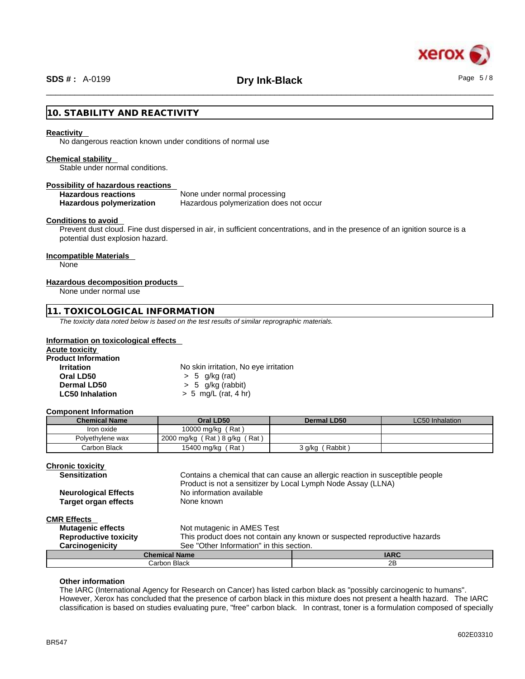

## \_\_\_\_\_\_\_\_\_\_\_\_\_\_\_\_\_\_\_\_\_\_\_\_\_\_\_\_\_\_\_\_\_\_\_\_\_\_\_\_\_\_\_\_\_\_\_\_\_\_\_\_\_\_\_\_\_\_\_\_\_\_\_\_\_\_\_\_\_\_\_\_\_\_\_\_\_\_\_\_\_\_\_\_\_\_\_\_\_\_\_\_\_\_ **SDS # :** A-0199 **Dry Ink-Black** Page 5 / 8

### **10. STABILITY AND REACTIVITY**

### **Reactivity**

No dangerous reaction known under conditions of normal use

### **Chemical stability**

Stable under normal conditions.

### **Possibility of hazardous reactions**

**Hazardous reactions** None under normal processing

**Hazardous polymerization** Hazardous polymerization does not occur

### **Conditions to avoid**

Prevent dust cloud. Fine dust dispersed in air, in sufficient concentrations, and in the presence of an ignition source is a potential dust explosion hazard.

### **Incompatible Materials**

None

### **Hazardous decomposition products**

None under normal use

### **11. TOXICOLOGICAL INFORMATION**

*The toxicity data noted below is based on the test results of similar reprographic materials.* 

### **Information on toxicological effects**

| Acute toxicitv             |                                       |  |
|----------------------------|---------------------------------------|--|
| <b>Product Information</b> |                                       |  |
| <b>Irritation</b>          | No skin irritation, No eye irritation |  |
| Oral LD50                  | $> 5$ g/kg (rat)                      |  |
| Dermal LD50                | $> 5$ g/kg (rabbit)                   |  |
| <b>LC50 Inhalation</b>     | $> 5$ mg/L (rat, 4 hr)                |  |
|                            |                                       |  |

### **Component Information**

| <b>Chemical Name</b> | Oral LD50                       | Dermal LD50       | LC50 Inhalation |
|----------------------|---------------------------------|-------------------|-----------------|
| Iron oxide           | 10000 mg/kg (Rat)               |                   |                 |
| Polyethylene wax     | 2000 mg/kg $(Rat) 8 g/kg (Rat)$ |                   |                 |
| Carbon Black         | 15400 mg/kg (Rat)               | Rabbit)<br>3 g/kg |                 |

### **Chronic toxicity**

| <b>Sensitization</b>        | Contains a chemical that can cause an allergic reaction in susceptible people |
|-----------------------------|-------------------------------------------------------------------------------|
|                             | Product is not a sensitizer by Local Lymph Node Assay (LLNA)                  |
| <b>Neurological Effects</b> | No information available                                                      |
| <b>Target organ effects</b> | None known                                                                    |
| <b>CMR Effects</b>          |                                                                               |
| <b>Mutagenic effects</b>    | Not mutagenic in AMES Test                                                    |

| <b>Mutagenic effects</b>     | Not mutagenic in AMES Test |                                                                           |  |  |
|------------------------------|----------------------------|---------------------------------------------------------------------------|--|--|
| <b>Reproductive toxicity</b> |                            | This product does not contain any known or suspected reproductive hazards |  |  |
| Carcinogenicity              |                            | See "Other Information" in this section.                                  |  |  |
| <b>Chemical Name</b>         |                            | <b>IARC</b>                                                               |  |  |
| Carbon Black                 |                            | 2B                                                                        |  |  |

### **Other information**

The IARC (International Agency for Research on Cancer) has listed carbon black as "possibly carcinogenic to humans". However, Xerox has concluded that the presence of carbon black in this mixture does not present a health hazard. The IARC classification is based on studies evaluating pure, "free" carbon black. In contrast, toner is a formulation composed of specially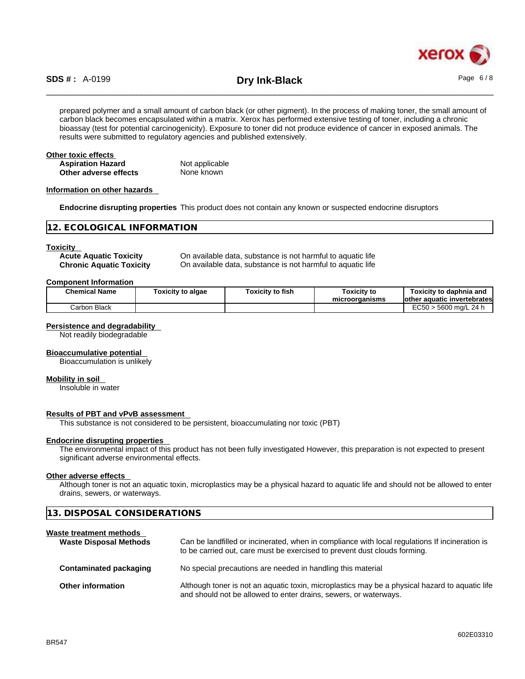

# \_\_\_\_\_\_\_\_\_\_\_\_\_\_\_\_\_\_\_\_\_\_\_\_\_\_\_\_\_\_\_\_\_\_\_\_\_\_\_\_\_\_\_\_\_\_\_\_\_\_\_\_\_\_\_\_\_\_\_\_\_\_\_\_\_\_\_\_\_\_\_\_\_\_\_\_\_\_\_\_\_\_\_\_\_\_\_\_\_\_\_\_\_\_ **SDS # :** A-0199 **Dry Ink-Black** Page 6 / 8

prepared polymer and a small amount of carbon black (or other pigment). In the process of making toner, the small amount of carbon black becomes encapsulated within a matrix. Xerox has performed extensive testing of toner, including a chronic bioassay (test for potential carcinogenicity). Exposure to toner did not produce evidence of cancer in exposed animals. The results were submitted to regulatory agencies and published extensively.

### **Other toxic effects Aspiration Hazard Not applicable**<br> **Other adverse effects** Mone known **Other** adverse effects

### **Information on other hazards**

**Endocrine disrupting properties** This product does not contain any known or suspected endocrine disruptors

### **12. ECOLOGICAL INFORMATION**

### **Toxicity**

**Acute Aquatic Toxicity** On available data, substance isnot harmful to aquatic life **Chronic Aquatic Toxicity** On available data, substance is not harmful to aquatic life

### **Component Information**

| <b>Chemical Name</b> | <b>Foxicity to algae</b> | Toxicitv to fish | <b>Toxicity to</b><br>microorganisms | Toxicity to daphnia and<br>lother aquatic invertebrates |  |
|----------------------|--------------------------|------------------|--------------------------------------|---------------------------------------------------------|--|
| Carbon Black         |                          |                  |                                      | $EC50 > 5600$ mg/L 24 h                                 |  |

### **Persistence and degradability**

Not readily biodegradable

### **Bioaccumulative potential**

Bioaccumulation is unlikely

#### **Mobility in soil**

Insoluble in water

### **Results of PBT and vPvB assessment**

This substance is not considered to be persistent, bioaccumulating nor toxic (PBT)

### **Endocrine disrupting properties**

The environmental impact of this product has not been fully investigated However, this preparation is not expected to present significant adverse environmental effects.

### **Other adverse effects**

Although toner is not an aquatic toxin, microplastics may be a physical hazard to aquatic life and should not be allowed to enter drains, sewers, or waterways.

| 13. DISPOSAL CONSIDERATIONS   |                                                                                                |
|-------------------------------|------------------------------------------------------------------------------------------------|
| Waste treatment methods       |                                                                                                |
| <b>Waste Disposal Methods</b> | Can be landfilled or incinerated, when in compliance with local regulations If incineration is |

|                          | to be carried out, care must be exercised to prevent dust clouds forming.                                                                                          |
|--------------------------|--------------------------------------------------------------------------------------------------------------------------------------------------------------------|
| Contaminated packaging   | No special precautions are needed in handling this material                                                                                                        |
| <b>Other information</b> | Although toner is not an aquatic toxin, microplastics may be a physical hazard to aquatic life<br>and should not be allowed to enter drains, sewers, or waterways. |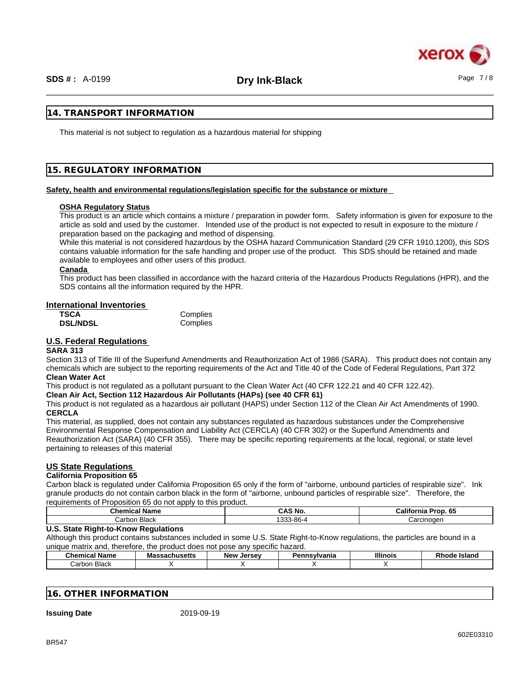

### **14. TRANSPORT INFORMATION**

This material is not subject to regulation as a hazardous material for shipping

### **15. REGULATORY INFORMATION**

### **Safety, health and environmental regulations/legislation specific for the substance or mixture**

### **OSHA Regulatory Status**

This product is an article which contains a mixture / preparation in powder form. Safety information is given for exposure to the article as sold and used by the customer. Intended use of the product is not expected to result in exposure to the mixture / preparation based on the packaging and method of dispensing.

While this material is not considered hazardous by the OSHA hazard Communication Standard (29 CFR 1910.1200), this SDS contains valuable information for the safe handling and proper use of the product. This SDS should be retained and made available to employees and other users of this product.

### **Canada**

This product has been classified in accordance with the hazard criteria of the Hazardous Products Regulations (HPR), and the SDS contains all the information required by the HPR.

### **International Inventories**

| TSCA            | Complies |
|-----------------|----------|
| <b>DSL/NDSL</b> | Complies |

### **U.S. Federal Regulations**

#### **SARA 313**

Section 313 of Title III of the Superfund Amendments and Reauthorization Act of 1986 (SARA). This product does not contain any chemicals which are subject to the reporting requirements of the Act and Title 40 of the Code of Federal Regulations, Part 372 **Clean Water Act**

### This product is not regulated as a pollutant pursuant to the Clean Water Act (40 CFR 122.21 and 40 CFR 122.42).

### **Clean Air Act,Section 112 Hazardous Air Pollutants (HAPs) (see 40 CFR 61)**

This product is not regulated as a hazardous air pollutant (HAPS) under Section 112 of the Clean Air Act Amendments of 1990. **CERCLA**

This material, as supplied, does not contain any substances regulated as hazardous substances under the Comprehensive Environmental Response Compensation and Liability Act (CERCLA) (40 CFR 302) or the Superfund Amendments and Reauthorization Act (SARA) (40 CFR 355). There may be specific reporting requirements at the local, regional, or state level pertaining to releases of this material

### **US State Regulations**

### **California Proposition 65**

Carbon black is regulated under California Proposition 65 only if the form of "airborne, unbound particles of respirable size". Ink granule products do not contain carbon black in the form of "airborne, unbound particles of respirable size". Therefore, the requirements of Proposition 65 do not apply to this product.

| Chemic<br>∵Name<br>- 31 | CAS No                      | California<br>$\sim$<br>.<br>65<br>on |
|-------------------------|-----------------------------|---------------------------------------|
| Black<br>شarbon.        | 0.00<br>33.86<br>-00<br>ີນນ | Carcinoger                            |

### **U.S. State Right-to-Know Regulations**

Although this product contains substances included in some U.S. State Right-to-Know regulations, the particles are bound in a unique matrix and, therefore, the product does not pose any specific hazard.

| . .<br>Chemical<br>Name | <b>Massachusetts</b> | New<br>Jersev | svlvania | <b>Illinois</b> | <b>DI-</b><br>Island<br>w |
|-------------------------|----------------------|---------------|----------|-----------------|---------------------------|
| <b>Black</b><br>Carbon  |                      |               |          |                 |                           |

### **16. OTHER INFORMATION**

**Issuing Date** 2019-09-19